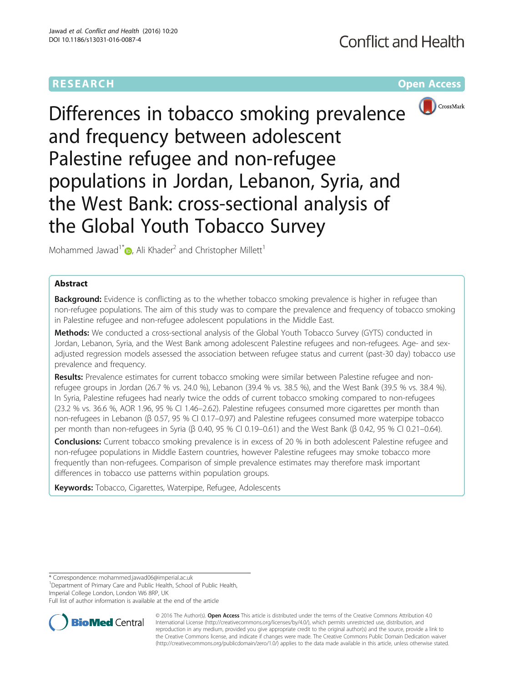# **RESEARCH CONSUMING THE CONSUMING THE CONSUMING THE CONSUMING THE CONSUMING THE CONSUMING THE CONSUMING THE CONSUMING THE CONSUMING THE CONSUMING THE CONSUMING THE CONSUMING THE CONSUMING THE CONSUMING THE CONSUMING THE**



Differences in tobacco smoking prevalence and frequency between adolescent Palestine refugee and non-refugee populations in Jordan, Lebanon, Syria, and the West Bank: cross-sectional analysis of the Global Youth Tobacco Survey

Mohammed Jawad<sup>1[\\*](http://orcid.org/0000-0002-1051-2136)</sup> $\bullet$ , Ali Khader<sup>2</sup> and Christopher Millett<sup>1</sup>

## Abstract

**Background:** Evidence is conflicting as to the whether tobacco smoking prevalence is higher in refugee than non-refugee populations. The aim of this study was to compare the prevalence and frequency of tobacco smoking in Palestine refugee and non-refugee adolescent populations in the Middle East.

Methods: We conducted a cross-sectional analysis of the Global Youth Tobacco Survey (GYTS) conducted in Jordan, Lebanon, Syria, and the West Bank among adolescent Palestine refugees and non-refugees. Age- and sexadjusted regression models assessed the association between refugee status and current (past-30 day) tobacco use prevalence and frequency.

Results: Prevalence estimates for current tobacco smoking were similar between Palestine refugee and nonrefugee groups in Jordan (26.7 % vs. 24.0 %), Lebanon (39.4 % vs. 38.5 %), and the West Bank (39.5 % vs. 38.4 %). In Syria, Palestine refugees had nearly twice the odds of current tobacco smoking compared to non-refugees (23.2 % vs. 36.6 %, AOR 1.96, 95 % CI 1.46–2.62). Palestine refugees consumed more cigarettes per month than non-refugees in Lebanon (β 0.57, 95 % CI 0.17–0.97) and Palestine refugees consumed more waterpipe tobacco per month than non-refugees in Syria (β 0.40, 95 % CI 0.19–0.61) and the West Bank (β 0.42, 95 % CI 0.21–0.64).

**Conclusions:** Current tobacco smoking prevalence is in excess of 20 % in both adolescent Palestine refugee and non-refugee populations in Middle Eastern countries, however Palestine refugees may smoke tobacco more frequently than non-refugees. Comparison of simple prevalence estimates may therefore mask important differences in tobacco use patterns within population groups.

Keywords: Tobacco, Cigarettes, Waterpipe, Refugee, Adolescents

\* Correspondence: [mohammed.jawad06@imperial.ac.uk](mailto:mohammed.jawad06@imperial.ac.uk) <sup>1</sup>

<sup>1</sup>Department of Primary Care and Public Health, School of Public Health, Imperial College London, London W6 8RP, UK

Full list of author information is available at the end of the article



© 2016 The Author(s). Open Access This article is distributed under the terms of the Creative Commons Attribution 4.0 International License [\(http://creativecommons.org/licenses/by/4.0/](http://creativecommons.org/licenses/by/4.0/)), which permits unrestricted use, distribution, and reproduction in any medium, provided you give appropriate credit to the original author(s) and the source, provide a link to the Creative Commons license, and indicate if changes were made. The Creative Commons Public Domain Dedication waiver [\(http://creativecommons.org/publicdomain/zero/1.0/](http://creativecommons.org/publicdomain/zero/1.0/)) applies to the data made available in this article, unless otherwise stated.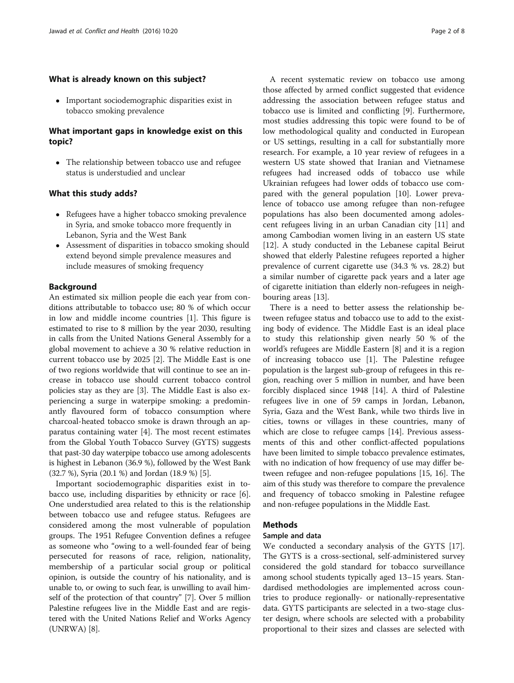## What is already known on this subject?

 Important sociodemographic disparities exist in tobacco smoking prevalence

## What important gaps in knowledge exist on this topic?

• The relationship between tobacco use and refugee status is understudied and unclear

## What this study adds?

- Refugees have a higher tobacco smoking prevalence in Syria, and smoke tobacco more frequently in Lebanon, Syria and the West Bank
- Assessment of disparities in tobacco smoking should extend beyond simple prevalence measures and include measures of smoking frequency

## Background

An estimated six million people die each year from conditions attributable to tobacco use; 80 % of which occur in low and middle income countries [\[1](#page-6-0)]. This figure is estimated to rise to 8 million by the year 2030, resulting in calls from the United Nations General Assembly for a global movement to achieve a 30 % relative reduction in current tobacco use by 2025 [[2](#page-6-0)]. The Middle East is one of two regions worldwide that will continue to see an increase in tobacco use should current tobacco control policies stay as they are [[3\]](#page-6-0). The Middle East is also experiencing a surge in waterpipe smoking: a predominantly flavoured form of tobacco consumption where charcoal-heated tobacco smoke is drawn through an apparatus containing water [\[4](#page-6-0)]. The most recent estimates from the Global Youth Tobacco Survey (GYTS) suggests that past-30 day waterpipe tobacco use among adolescents is highest in Lebanon (36.9 %), followed by the West Bank (32.7 %), Syria (20.1 %) and Jordan (18.9 %) [[5](#page-6-0)].

Important sociodemographic disparities exist in tobacco use, including disparities by ethnicity or race [\[6](#page-6-0)]. One understudied area related to this is the relationship between tobacco use and refugee status. Refugees are considered among the most vulnerable of population groups. The 1951 Refugee Convention defines a refugee as someone who "owing to a well-founded fear of being persecuted for reasons of race, religion, nationality, membership of a particular social group or political opinion, is outside the country of his nationality, and is unable to, or owing to such fear, is unwilling to avail himself of the protection of that country" [\[7\]](#page-6-0). Over 5 million Palestine refugees live in the Middle East and are registered with the United Nations Relief and Works Agency (UNRWA) [[8](#page-6-0)].

A recent systematic review on tobacco use among those affected by armed conflict suggested that evidence addressing the association between refugee status and tobacco use is limited and conflicting [\[9](#page-6-0)]. Furthermore, most studies addressing this topic were found to be of low methodological quality and conducted in European or US settings, resulting in a call for substantially more research. For example, a 10 year review of refugees in a western US state showed that Iranian and Vietnamese refugees had increased odds of tobacco use while Ukrainian refugees had lower odds of tobacco use compared with the general population [\[10](#page-6-0)]. Lower prevalence of tobacco use among refugee than non-refugee populations has also been documented among adolescent refugees living in an urban Canadian city [[11\]](#page-6-0) and among Cambodian women living in an eastern US state [[12\]](#page-6-0). A study conducted in the Lebanese capital Beirut showed that elderly Palestine refugees reported a higher prevalence of current cigarette use (34.3 % vs. 28.2) but a similar number of cigarette pack years and a later age of cigarette initiation than elderly non-refugees in neighbouring areas [\[13](#page-6-0)].

There is a need to better assess the relationship between refugee status and tobacco use to add to the existing body of evidence. The Middle East is an ideal place to study this relationship given nearly 50 % of the world's refugees are Middle Eastern [[8\]](#page-6-0) and it is a region of increasing tobacco use [\[1](#page-6-0)]. The Palestine refugee population is the largest sub-group of refugees in this region, reaching over 5 million in number, and have been forcibly displaced since 1948 [\[14](#page-6-0)]. A third of Palestine refugees live in one of 59 camps in Jordan, Lebanon, Syria, Gaza and the West Bank, while two thirds live in cities, towns or villages in these countries, many of which are close to refugee camps [[14\]](#page-6-0). Previous assessments of this and other conflict-affected populations have been limited to simple tobacco prevalence estimates, with no indication of how frequency of use may differ between refugee and non-refugee populations [[15, 16\]](#page-6-0). The aim of this study was therefore to compare the prevalence and frequency of tobacco smoking in Palestine refugee and non-refugee populations in the Middle East.

### Methods

## Sample and data

We conducted a secondary analysis of the GYTS [\[17](#page-6-0)]. The GYTS is a cross-sectional, self-administered survey considered the gold standard for tobacco surveillance among school students typically aged 13–15 years. Standardised methodologies are implemented across countries to produce regionally- or nationally-representative data. GYTS participants are selected in a two-stage cluster design, where schools are selected with a probability proportional to their sizes and classes are selected with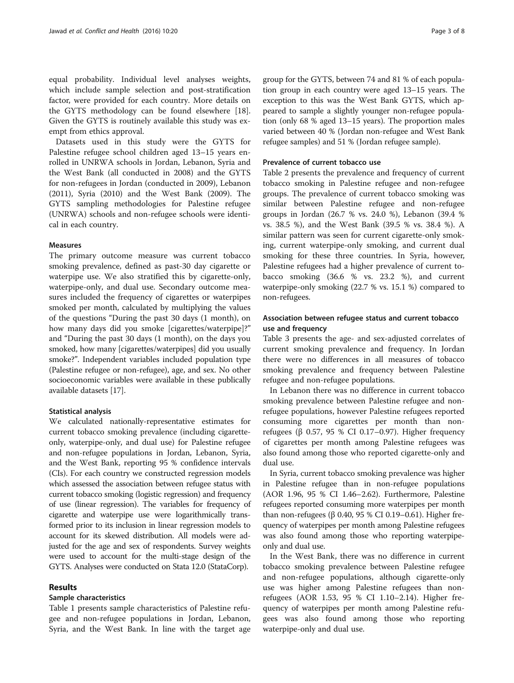equal probability. Individual level analyses weights, which include sample selection and post-stratification factor, were provided for each country. More details on the GYTS methodology can be found elsewhere [\[18](#page-6-0)]. Given the GYTS is routinely available this study was exempt from ethics approval.

Datasets used in this study were the GYTS for Palestine refugee school children aged 13–15 years enrolled in UNRWA schools in Jordan, Lebanon, Syria and the West Bank (all conducted in 2008) and the GYTS for non-refugees in Jordan (conducted in 2009), Lebanon (2011), Syria (2010) and the West Bank (2009). The GYTS sampling methodologies for Palestine refugee (UNRWA) schools and non-refugee schools were identical in each country.

## Measures

The primary outcome measure was current tobacco smoking prevalence, defined as past-30 day cigarette or waterpipe use. We also stratified this by cigarette-only, waterpipe-only, and dual use. Secondary outcome measures included the frequency of cigarettes or waterpipes smoked per month, calculated by multiplying the values of the questions "During the past 30 days (1 month), on how many days did you smoke [cigarettes/waterpipe]?" and "During the past 30 days (1 month), on the days you smoked, how many [cigarettes/waterpipes] did you usually smoke?". Independent variables included population type (Palestine refugee or non-refugee), age, and sex. No other socioeconomic variables were available in these publically available datasets [[17](#page-6-0)].

#### Statistical analysis

We calculated nationally-representative estimates for current tobacco smoking prevalence (including cigaretteonly, waterpipe-only, and dual use) for Palestine refugee and non-refugee populations in Jordan, Lebanon, Syria, and the West Bank, reporting 95 % confidence intervals (CIs). For each country we constructed regression models which assessed the association between refugee status with current tobacco smoking (logistic regression) and frequency of use (linear regression). The variables for frequency of cigarette and waterpipe use were logarithmically transformed prior to its inclusion in linear regression models to account for its skewed distribution. All models were adjusted for the age and sex of respondents. Survey weights were used to account for the multi-stage design of the GYTS. Analyses were conducted on Stata 12.0 (StataCorp).

## Results

## Sample characteristics

Table [1](#page-3-0) presents sample characteristics of Palestine refugee and non-refugee populations in Jordan, Lebanon, Syria, and the West Bank. In line with the target age group for the GYTS, between 74 and 81 % of each population group in each country were aged 13–15 years. The exception to this was the West Bank GYTS, which appeared to sample a slightly younger non-refugee population (only 68 % aged 13–15 years). The proportion males varied between 40 % (Jordan non-refugee and West Bank refugee samples) and 51 % (Jordan refugee sample).

### Prevalence of current tobacco use

Table [2](#page-4-0) presents the prevalence and frequency of current tobacco smoking in Palestine refugee and non-refugee groups. The prevalence of current tobacco smoking was similar between Palestine refugee and non-refugee groups in Jordan (26.7 % vs. 24.0 %), Lebanon (39.4 % vs. 38.5 %), and the West Bank (39.5 % vs. 38.4 %). A similar pattern was seen for current cigarette-only smoking, current waterpipe-only smoking, and current dual smoking for these three countries. In Syria, however, Palestine refugees had a higher prevalence of current tobacco smoking (36.6 % vs. 23.2 %), and current waterpipe-only smoking (22.7 % vs. 15.1 %) compared to non-refugees.

## Association between refugee status and current tobacco use and frequency

Table [3](#page-5-0) presents the age- and sex-adjusted correlates of current smoking prevalence and frequency. In Jordan there were no differences in all measures of tobacco smoking prevalence and frequency between Palestine refugee and non-refugee populations.

In Lebanon there was no difference in current tobacco smoking prevalence between Palestine refugee and nonrefugee populations, however Palestine refugees reported consuming more cigarettes per month than nonrefugees (β 0.57, 95 % CI 0.17–0.97). Higher frequency of cigarettes per month among Palestine refugees was also found among those who reported cigarette-only and dual use.

In Syria, current tobacco smoking prevalence was higher in Palestine refugee than in non-refugee populations (AOR 1.96, 95 % CI 1.46–2.62). Furthermore, Palestine refugees reported consuming more waterpipes per month than non-refugees (β 0.40, 95 % CI 0.19–0.61). Higher frequency of waterpipes per month among Palestine refugees was also found among those who reporting waterpipeonly and dual use.

In the West Bank, there was no difference in current tobacco smoking prevalence between Palestine refugee and non-refugee populations, although cigarette-only use was higher among Palestine refugees than nonrefugees (AOR 1.53, 95 % CI 1.10–2.14). Higher frequency of waterpipes per month among Palestine refugees was also found among those who reporting waterpipe-only and dual use.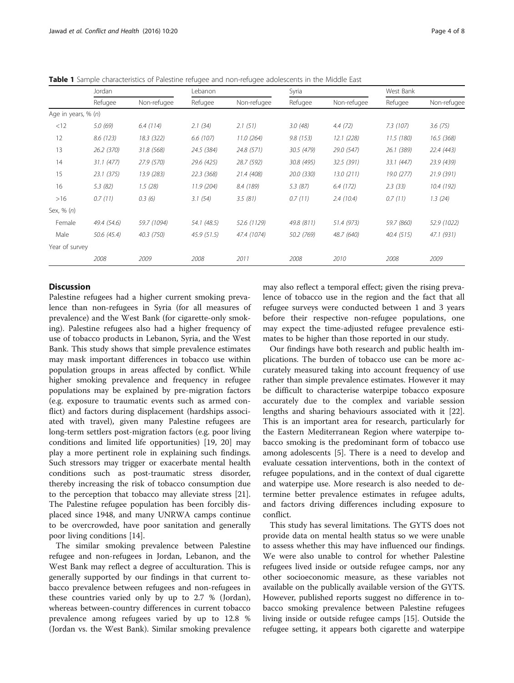<span id="page-3-0"></span>Table 1 Sample characteristics of Palestine refugee and non-refugee adolescents in the Middle East

|                       | Jordan      |             | Lebanon     |             | Syria      |             | West Bank  |             |
|-----------------------|-------------|-------------|-------------|-------------|------------|-------------|------------|-------------|
|                       | Refugee     | Non-refugee | Refugee     | Non-refugee | Refugee    | Non-refugee | Refugee    | Non-refugee |
| Age in years, $% (n)$ |             |             |             |             |            |             |            |             |
| <12                   | 5.0(69)     | 6.4(114)    | 2.1(34)     | 2.1(51)     | 3.0(48)    | 4.4(72)     | 7.3(107)   | 3.6(75)     |
| 12                    | 8.6(123)    | 18.3 (322)  | 6.6(107)    | 11.0(264)   | 9.8(153)   | 12.1(228)   | 11.5(180)  | 16.5(368)   |
| 13                    | 26.2 (370)  | 31.8 (568)  | 24.5 (384)  | 24.8 (571)  | 30.5 (479) | 29.0 (547)  | 26.1 (389) | 22.4 (443)  |
| 14                    | 31.1 (477)  | 27.9 (570)  | 29.6 (425)  | 28.7 (592)  | 30.8 (495) | 32.5 (391)  | 33.1 (447) | 23.9 (439)  |
| 15                    | 23.1(375)   | 13.9 (283)  | 22.3 (368)  | 21.4 (408)  | 20.0 (330) | 13.0(211)   | 19.0 (277) | 21.9(391)   |
| 16                    | 5.3(82)     | 1.5(28)     | 11.9(204)   | 8.4 (189)   | 5.3(87)    | 6.4(172)    | 2.3(33)    | 10.4 (192)  |
| $>16$                 | 0.7(11)     | 0.3(6)      | 3.1(54)     | 3.5(81)     | 0.7(11)    | 2.4(10.4)   | 0.7(11)    | 1.3(24)     |
| Sex, % (n)            |             |             |             |             |            |             |            |             |
| Female                | 49.4 (54.6) | 59.7 (1094) | 54.1 (48.5) | 52.6 (1129) | 49.8 (811) | 51.4 (973)  | 59.7 (860) | 52.9 (1022) |
| Male                  | 50.6 (45.4) | 40.3 (750)  | 45.9(51.5)  | 47.4 (1074) | 50.2 (769) | 48.7 (640)  | 40.4(515)  | 47.1 (931)  |
| Year of survey        |             |             |             |             |            |             |            |             |
|                       | 2008        | 2009        | 2008        | 2011        | 2008       | 2010        | 2008       | 2009        |

## **Discussion**

Palestine refugees had a higher current smoking prevalence than non-refugees in Syria (for all measures of prevalence) and the West Bank (for cigarette-only smoking). Palestine refugees also had a higher frequency of use of tobacco products in Lebanon, Syria, and the West Bank. This study shows that simple prevalence estimates may mask important differences in tobacco use within population groups in areas affected by conflict. While higher smoking prevalence and frequency in refugee populations may be explained by pre-migration factors (e.g. exposure to traumatic events such as armed conflict) and factors during displacement (hardships associated with travel), given many Palestine refugees are long-term settlers post-migration factors (e.g. poor living conditions and limited life opportunities) [\[19](#page-6-0), [20\]](#page-6-0) may play a more pertinent role in explaining such findings. Such stressors may trigger or exacerbate mental health conditions such as post-traumatic stress disorder, thereby increasing the risk of tobacco consumption due to the perception that tobacco may alleviate stress [\[21](#page-6-0)]. The Palestine refugee population has been forcibly displaced since 1948, and many UNRWA camps continue to be overcrowded, have poor sanitation and generally poor living conditions [[14\]](#page-6-0).

The similar smoking prevalence between Palestine refugee and non-refugees in Jordan, Lebanon, and the West Bank may reflect a degree of acculturation. This is generally supported by our findings in that current tobacco prevalence between refugees and non-refugees in these countries varied only by up to 2.7 % (Jordan), whereas between-country differences in current tobacco prevalence among refugees varied by up to 12.8 % (Jordan vs. the West Bank). Similar smoking prevalence

may also reflect a temporal effect; given the rising prevalence of tobacco use in the region and the fact that all refugee surveys were conducted between 1 and 3 years before their respective non-refugee populations, one may expect the time-adjusted refugee prevalence estimates to be higher than those reported in our study.

Our findings have both research and public health implications. The burden of tobacco use can be more accurately measured taking into account frequency of use rather than simple prevalence estimates. However it may be difficult to characterise waterpipe tobacco exposure accurately due to the complex and variable session lengths and sharing behaviours associated with it [\[22](#page-6-0)]. This is an important area for research, particularly for the Eastern Mediterranean Region where waterpipe tobacco smoking is the predominant form of tobacco use among adolescents [[5](#page-6-0)]. There is a need to develop and evaluate cessation interventions, both in the context of refugee populations, and in the context of dual cigarette and waterpipe use. More research is also needed to determine better prevalence estimates in refugee adults, and factors driving differences including exposure to conflict.

This study has several limitations. The GYTS does not provide data on mental health status so we were unable to assess whether this may have influenced our findings. We were also unable to control for whether Palestine refugees lived inside or outside refugee camps, nor any other socioeconomic measure, as these variables not available on the publically available version of the GYTS. However, published reports suggest no difference in tobacco smoking prevalence between Palestine refugees living inside or outside refugee camps [[15\]](#page-6-0). Outside the refugee setting, it appears both cigarette and waterpipe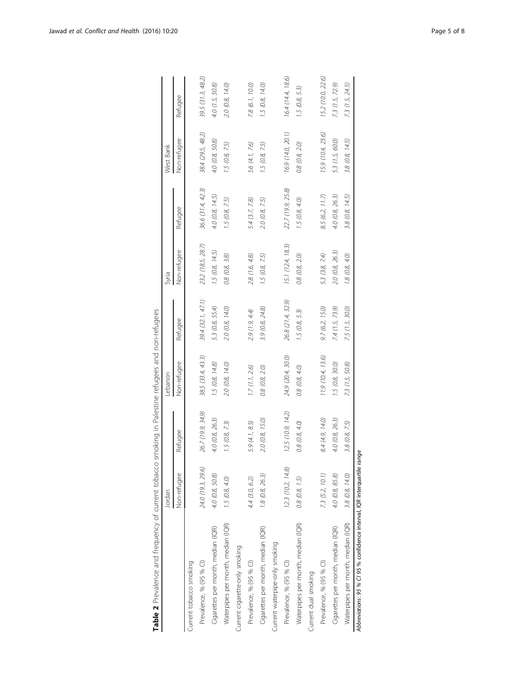<span id="page-4-0"></span>

|                                                                          | Jordan            |                   | Lebanon           |                   | Syria             |                   | West Bank         |                   |
|--------------------------------------------------------------------------|-------------------|-------------------|-------------------|-------------------|-------------------|-------------------|-------------------|-------------------|
|                                                                          | Non-refugee       | Refugee           | Non-refugee       | Refugee           | Non-refugee       | Refugee           | Non-refugee       | Refugee           |
| Current tobacco smoking                                                  |                   |                   |                   |                   |                   |                   |                   |                   |
| Prevalence, % (95 % Cl)                                                  | 24.0 (19.3, 29.6) | 26.7 (19.9, 34.9) | 38.5 (33.4, 43.3) | 39.4 (32.1, 47.1) | 23.2 (18.5, 28.7) | 36.6 (31.4, 42.3) | 38.4 (29.5, 48.2) | 39.5 (31.3, 48.2) |
| Cigarettes per month, median (IQR)                                       | 4.0 (0.8, 50.8)   | 4.0 (0.8, 26.3)   | 1.5 (0.8, 14.8)   | 5.3 (0.8, 55.4)   | 1.5 (0.8, 14.5)   | 4.0 (0.8, 14.5)   | 4.0 (0.8, 50.8)   | 4.0 (1.5, 50.8)   |
| Waterpipes per month, median (IQR)                                       | 1.5(0.8, 4.0)     | 1.5(0.8, 7.3)     | 2.0 (0.8, 14.0)   | 2.0 (0.8, 14.0)   | 0.8 (0.8, 3.8)    | 1.5 (0.8, 7.5)    | 1.5 (0.8, 7.5)    | 2.0 (0.8, 14.0)   |
| Current cigarette-only smoking                                           |                   |                   |                   |                   |                   |                   |                   |                   |
| Prevalence, % (95 % Cl)                                                  | 44 (3.0, 6.2)     | 5.9 (4.1, 8.5)    | 1.7 (1.1, 2.6)    | 2.9 (1.9, 4.4)    | 2.8 (1.6, 4.8)    | 5.4 (3.7, 7.8)    | 5.6 (4.1, 7.6)    | 7.8 (6.1, 10.0)   |
| Cigarettes per month, median (IQR)                                       | 1.8 (0.8, 26.3)   | 2.0 (0.8, 15.0)   | 0.8 (0.8, 2.0)    | 3.9 (0.8, 24.8)   | 1.5 (0.8, 7.5)    | 2.0 (0.8, 7.5)    | 1.5 (0.8, 7.5)    | 1.5(0.8, 14.0)    |
| Current waterpipe-only smoking                                           |                   |                   |                   |                   |                   |                   |                   |                   |
| Prevalence, % (95 % Cl)                                                  | 12.3(10.2, 14.8)  | 12.5(10.9, 14.2)  | 24.9 (20.4, 30.0) | 26.8 (21.4, 32.9) | 15.1 (12.4, 18.3) | 22.7 (19.9, 25.8) | 16.9 (14.0, 20.1) | 16.4 (14.4, 18.6) |
| Waterpipes per month, median (IQR)                                       | 0.8 (0.8, 1.5)    | 0.8 (0.8, 4.0)    | 0.8 (0.8, 4.0)    | 1.5 (0.8, 5.3)    | 0.8 (0.8, 2.0)    | 1.5(0.8, 4.0)     | 0.8 (0.8, 2.0)    | 1.5 (0.8, 5.3)    |
| Current dual smoking                                                     |                   |                   |                   |                   |                   |                   |                   |                   |
| Prevalence, % (95 % Cl)                                                  | 73 (5.2, 10.1)    | 8.4 (4.9, 14.0)   | 11.9 (10.4, 13.6) | 9.7 (6.2, 15.0)   | 5.3 (3.8, 7.4)    | 8.5 (6.2, 11.7)   | 15.9 (10.4, 23.6) | 15.2 (10.0, 22.6) |
| Cigarettes per month, median (IQR)                                       | 4.0 (0.8, 85.8)   | 4.0 (0.8, 26.3)   | 1.5 (0.8, 30.0)   | 7.4 (1.5, 73.9)   | 2.0 (0.8, 26.3)   | 4.0 (0.8, 26.3)   | 5.3 (1.5, 60.0)   | 7.3 (1.5, 72.9)   |
| Waterpipes per month, median (IQR)                                       | 3.8 (0.8, 14.0)   | 3.8 (0.8, 7.5)    | 7.3 (1.5, 50.8)   | 7.5 (1.5, 30.0)   | 1.8(0.8, 4.0)     | 3.8 (0.8, 14.5)   | 3.8 (0.8, 14.5)   | 7.3 (1.5, 24.5)   |
| Abbreviations: 95 % Cl 95 % confidence interval, IQR interquartile range |                   |                   |                   |                   |                   |                   |                   |                   |

Table 2 Prevalence and frequency of current tobacco smoking in Palestine refugees and non-refugees Table 2 Prevalence and frequency of current tobacco smoking in Palestine refugees and non-refugees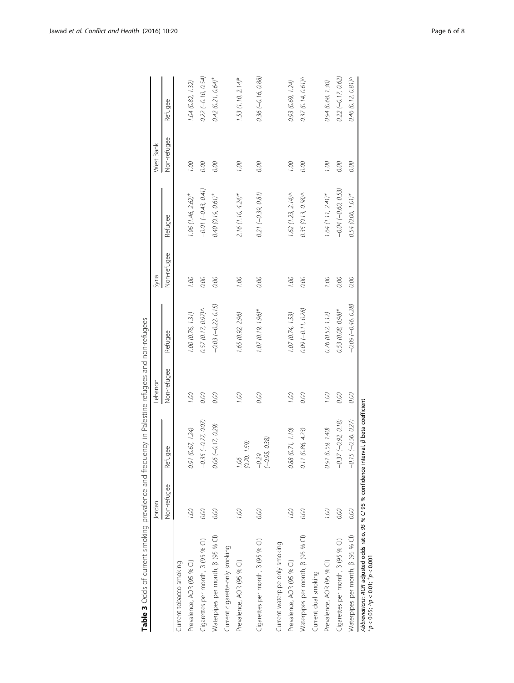<span id="page-5-0"></span>

|                                                                                                                                               | Jordan      |                            | Lebanon     |                         | Syria       |                                  | West Bank            |                                |
|-----------------------------------------------------------------------------------------------------------------------------------------------|-------------|----------------------------|-------------|-------------------------|-------------|----------------------------------|----------------------|--------------------------------|
|                                                                                                                                               | Non-refugee | Refugee                    | Non-refugee | Refugee                 | Non-refugee | Refugee                          | Non-refugee          | Refugee                        |
| Current tobacco smoking                                                                                                                       |             |                            |             |                         |             |                                  |                      |                                |
| Prevalence, AOR (95 % Cl)                                                                                                                     | 00.1        | 0.91 (0.67, 1.24)          | 00.1        | 1.00 (0.76, 1.31)       | 001         | $1.96$ (1.46, 2.62) <sup>+</sup> | 0.7                  | 1.04 (0.82, 1.32)              |
| Cigarettes per month, $\beta$ (95 % Cl)                                                                                                       | 0.00        | 35 (-0.77, 0.07)<br>q.     | 0.00        | 0.57 (0.17, 0.97) ^     | 0.00        | $-0.01(-0.43, 0.41)$             | 0.00                 | $0.22(-0.10, 0.54)$            |
| Waterpipes per month, $\beta$ (95 % Cl)                                                                                                       | 0.00        | 0.06 (-0.17, 0.29)         | 0.00        | $-0.03$ $(-0.22, 0.15)$ | 0.00        | $0.40(0.19, 0.61)^+$             | 0.00                 | $0.42$ $(0.21, 0.64)^+$        |
| Current cigarette-only smoking                                                                                                                |             |                            |             |                         |             |                                  |                      |                                |
| Prevalence, AOR (95 % CI)                                                                                                                     | 00.1        | (0.70, 1.59)<br>1.06       | 00.1        | 1.65 (0.92, 2.96)       | 001         | $2.16$ (1.10, 4.24)*             | $\widetilde{\omega}$ | $1.53 (1.10, 2.14)^{*}$        |
| Cigarettes per month, $\beta$ (95 % Cl)                                                                                                       | 0.00        | $(-0.95, 0.38)$<br>$-0.29$ | 0.00        | $1.07(0.19, 1.96)$ *    | 0.00        | $0.21 (-0.39, 0.81)$             | 0.00                 | $0.36 (-0.16, 0.88)$           |
| Current waterpipe-only smoking                                                                                                                |             |                            |             |                         |             |                                  |                      |                                |
| Prevalence, AOR (95 % Cl)                                                                                                                     | 00.1        | 0.88 (0.71, 1.10)          | 00.1        | 1.07 (0.74, 1.53)       | 001         | $1.62$ (1.23, 2.14) $\land$      | 0.00                 | 0.93 (0.69, 1.24)              |
| Waterpipes per month, $\beta$ (95 % CI)                                                                                                       | 0.00        | 0.11 (0.86, 4.23)          | 0.00        | $0.09 (-0.11, 0.28)$    | 0.00        | 0.35 (0.13, 0.58) ^              | 0.00                 | 0.37 (0.14, 0.61) <sup>N</sup> |
| Current dual smoking                                                                                                                          |             |                            |             |                         |             |                                  |                      |                                |
| Prevalence, AOR (95 % Cl)                                                                                                                     | 00.1        | 0.91 (0.59, 1.40)          | 00.1        | 0.76 (0.52, 1.12)       | 001         | $1.64$ (1.11, 2.41)*             | 0.00                 | 0.94 (0.68, 1.30)              |
| Cigarettes per month, $\beta$ (95 % Cl)                                                                                                       | 0.00        | $37 (-0.92, 0.18)$<br>P.   | 0.00        | 0.53 (0.08, 0.98)*      | 0.00        | $-0.04 (-0.60, 0.53)$            | 0.00                 | $0.22(-0.17, 0.62)$            |
| Waterpipes per month, $\beta$ (95 % CI)                                                                                                       | 0.00        | $-0.15 (-0.56, 0.27)$      | 0.00        | $-0.09(-0.46, 0.28)$    | 0.00        | 0.54 (0.06, 1.01)*               | 0.00                 | 0.46 (0.12, 0.81)              |
| Abbreviations: AOR adjusted odds ratio, 95 % Cl 95 % confidence interval, ß beta coefficient<br>$*$ $p < 0.05$ ; ^ $p < 0.01$ ; $^+p < 0.001$ |             |                            |             |                         |             |                                  |                      |                                |

Table 3 Odds of current smoking prevalence and frequency in Palestine refugees and non-refugees Table 3 Odds of current smoking prevalence and frequency in Palestine refugees and non-refugees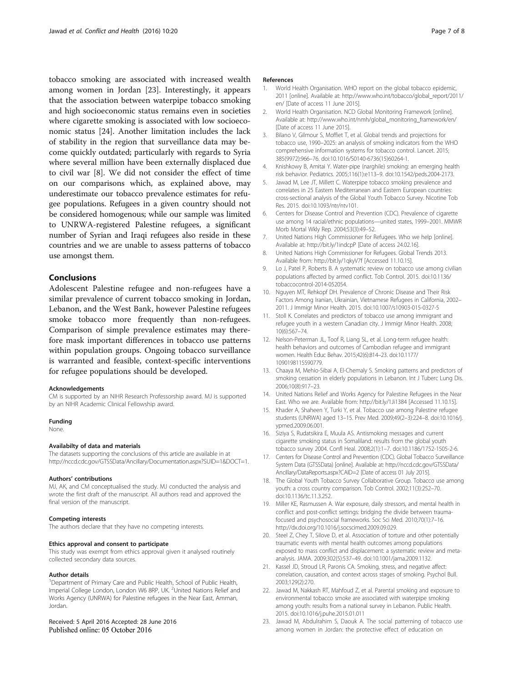<span id="page-6-0"></span>tobacco smoking are associated with increased wealth among women in Jordan [23]. Interestingly, it appears that the association between waterpipe tobacco smoking and high socioeconomic status remains even in societies where cigarette smoking is associated with low socioeconomic status [[24](#page-7-0)]. Another limitation includes the lack of stability in the region that surveillance data may become quickly outdated; particularly with regards to Syria where several million have been externally displaced due to civil war [8]. We did not consider the effect of time on our comparisons which, as explained above, may underestimate our tobacco prevalence estimates for refugee populations. Refugees in a given country should not be considered homogenous; while our sample was limited to UNRWA-registered Palestine refugees, a significant number of Syrian and Iraqi refugees also reside in these countries and we are unable to assess patterns of tobacco use amongst them.

## Conclusions

Adolescent Palestine refugee and non-refugees have a similar prevalence of current tobacco smoking in Jordan, Lebanon, and the West Bank, however Palestine refugees smoke tobacco more frequently than non-refugees. Comparison of simple prevalence estimates may therefore mask important differences in tobacco use patterns within population groups. Ongoing tobacco surveillance is warranted and feasible, context-specific interventions for refugee populations should be developed.

#### Acknowledgements

CM is supported by an NIHR Research Professorship award. MJ is supported by an NIHR Academic Clinical Fellowship award.

#### Funding

None.

#### Availabilty of data and materials

The datasets supporting the conclusions of this article are available in at <http://nccd.cdc.gov/GTSSData/Ancillary/Documentation.aspx?SUID=1&DOCT=1>.

#### Authors' contributions

MJ, AK, and CM conceptualised the study. MJ conducted the analysis and wrote the first draft of the manuscript. All authors read and approved the final version of the manuscript.

#### Competing interests

The authors declare that they have no competing interests.

#### Ethics approval and consent to participate

This study was exempt from ethics approval given it analysed routinely collected secondary data sources.

#### Author details

<sup>1</sup>Department of Primary Care and Public Health, School of Public Health, Imperial College London, London W6 8RP, UK. <sup>2</sup>United Nations Relief and Works Agency (UNRWA) for Palestine refugees in the Near East, Amman, Jordan.

#### Received: 5 April 2016 Accepted: 28 June 2016 Published online: 05 October 2016

#### References

- World Health Organisation. WHO report on the global tobacco epidemic, 2011 [online]. Available at: [http://www.who.int/tobacco/global\\_report/2011/](http://www.who.int/tobacco/global_report/2011/en/) [en/](http://www.who.int/tobacco/global_report/2011/en/) [Date of access 11 June 2015].
- 2. World Health Organisation. NCD Global Monitoring Framework [online]. Available at: [http://www.who.int/nmh/global\\_monitoring\\_framework/en/](http://www.who.int/nmh/global_monitoring_framework/en/) [Date of access 11 June 2015].
- 3. Bilano V, Gilmour S, Moffiet T, et al. Global trends and projections for tobacco use, 1990–2025: an analysis of smoking indicators from the WHO comprehensive information systems for tobacco control. Lancet. 2015; 385(9972):966–76. doi:[10.1016/S0140-6736\(15\)60264-1.](http://dx.doi.org/10.1016/S0140-6736(15)60264-1)
- 4. Knishkowy B, Amitai Y. Water-pipe (narghile) smoking: an emerging health risk behavior. Pediatrics. 2005;116(1):e113–9. doi:[10.1542/peds.2004-2173](http://dx.doi.org/10.1542/peds.2004-2173).
- 5. Jawad M, Lee JT, Millett C. Waterpipe tobacco smoking prevalence and correlates in 25 Eastern Mediterranean and Eastern European countries: cross-sectional analysis of the Global Youth Tobacco Survey. Nicotine Tob Res. 2015. doi:[10.1093/ntr/ntv101.](http://dx.doi.org/10.1093/ntr/ntv101)
- 6. Centers for Disease Control and Prevention (CDC). Prevalence of cigarette use among 14 racial/ethnic populations—united states, 1999–2001. MMWR Morb Mortal Wkly Rep. 2004;53(3):49–52.
- 7. United Nations High Commissioner for Refugees. Who we help [online]. Available at:<http://bit.ly/1indcpP> [Date of access 24.02.16].
- 8. United Nations High Commissioner for Refugees. Global Trends 2013. Available from:<http://bit.ly/1qkyV7f> [Accessed 11.10.15].
- 9. Lo J, Patel P, Roberts B. A systematic review on tobacco use among civilian populations affected by armed conflict. Tob Control. 2015. doi:[10.1136/](http://dx.doi.org/10.1136/tobaccocontrol-2014-052054) [tobaccocontrol-2014-052054](http://dx.doi.org/10.1136/tobaccocontrol-2014-052054).
- 10. Nguyen MT, Rehkopf DH. Prevalence of Chronic Disease and Their Risk Factors Among Iranian, Ukrainian, Vietnamese Refugees in California, 2002– 2011. J Immigr Minor Health. 2015. doi:[10.1007/s10903-015-0327-5](http://dx.doi.org/10.1007/s10903-015-0327-5)
- 11. Stoll K. Correlates and predictors of tobacco use among immigrant and refugee youth in a western Canadian city. J Immigr Minor Health. 2008; 10(6):567–74.
- 12. Nelson-Peterman JL, Toof R, Liang SL, et al. Long-term refugee health: health behaviors and outcomes of Cambodian refugee and immigrant women. Health Educ Behav. 2015;42(6):814–23. doi[:10.1177/](http://dx.doi.org/10.1177/1090198115590779) [1090198115590779.](http://dx.doi.org/10.1177/1090198115590779)
- 13. Chaaya M, Mehio-Sibai A, El-Chemaly S. Smoking patterns and predictors of smoking cessation in elderly populations in Lebanon. Int J Tuberc Lung Dis. 2006;10(8):917–23.
- 14. United Nations Relief and Works Agency for Palestine Refugees in the Near East. Who we are. Available from:<http://bit.ly/1Ji1384> [Accessed 11.10.15].
- 15. Khader A, Shaheen Y, Turki Y, et al. Tobacco use among Palestine refugee students (UNRWA) aged 13–15. Prev Med. 2009;49(2–3):224–8. doi:[10.1016/j.](http://dx.doi.org/10.1016/j.ypmed.2009.06.001) [ypmed.2009.06.001](http://dx.doi.org/10.1016/j.ypmed.2009.06.001).
- 16. Siziya S, Rudatsikira E, Muula AS. Antismoking messages and current cigarette smoking status in Somaliland: results from the global youth tobacco survey 2004. Confl Heal. 2008;2(1):1–7. doi:[10.1186/1752-1505-2-6](http://dx.doi.org/10.1186/1752-1505-2-6).
- 17. Centers for Disease Control and Prevention (CDC). Global Tobacco Surveillance System Data (GTSSData) [online]. Available at: [http://nccd.cdc.gov/GTSSData/](http://nccd.cdc.gov/GTSSData/Ancillary/DataReports.aspx?CAID=2) [Ancillary/DataReports.aspx?CAID=2](http://nccd.cdc.gov/GTSSData/Ancillary/DataReports.aspx?CAID=2) [Date of access 01 July 2015].
- 18. The Global Youth Tobacco Survey Collaborative Group. Tobacco use among youth: a cross country comparison. Tob Control. 2002;11(3):252–70. doi[:10.1136/tc.11.3.252](http://dx.doi.org/10.1136/tc.11.3.252).
- 19. Miller KE, Rasmussen A. War exposure, daily stressors, and mental health in conflict and post-conflict settings: bridging the divide between traumafocused and psychosocial frameworks. Soc Sci Med. 2010;70(1):7–16. http://dx.doi.org[/10.1016/j.socscimed.2009.09.029](http://dx.doi.org/10.1016/j.socscimed.2009.09.029).
- 20. Steel Z, Chey T, Silove D, et al. Association of torture and other potentially traumatic events with mental health outcomes among populations exposed to mass conflict and displacement: a systematic review and metaanalysis. JAMA. 2009;302(5):537–49. doi:[10.1001/jama.2009.1132](http://dx.doi.org/10.1001/jama.2009.1132).
- 21. Kassel JD, Stroud LR, Paronis CA. Smoking, stress, and negative affect: correlation, causation, and context across stages of smoking. Psychol Bull. 2003;129(2):270.
- 22. Jawad M, Nakkash RT, Mahfoud Z, et al. Parental smoking and exposure to environmental tobacco smoke are associated with waterpipe smoking among youth: results from a national survey in Lebanon. Public Health. 2015. doi[:10.1016/j.puhe.2015.01.011](http://dx.doi.org/10.1016/j.puhe.2015.01.011)
- 23. Jawad M, Abdulrahim S, Daouk A. The social patterning of tobacco use among women in Jordan: the protective effect of education on